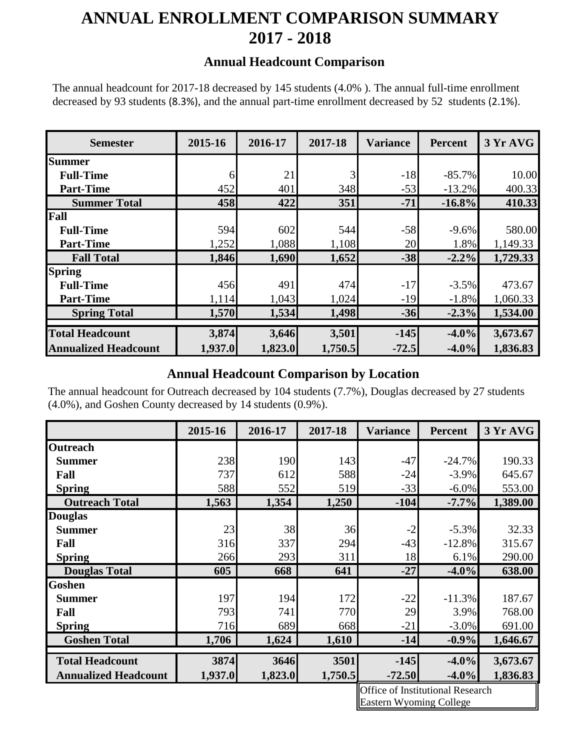# **ANNUAL ENROLLMENT COMPARISON SUMMARY 2017 - 2018**

#### **Annual Headcount Comparison**

The annual headcount for 2017-18 decreased by 145 students (4.0% ). The annual full-time enrollment decreased by 93 students (8.3%), and the annual part-time enrollment decreased by 52 students (2.1%).

| <b>Semester</b>             | 2015-16 | 2016-17 | 2017-18 | <b>Variance</b> | <b>Percent</b> | 3 Yr AVG |
|-----------------------------|---------|---------|---------|-----------------|----------------|----------|
| <b>Summer</b>               |         |         |         |                 |                |          |
| <b>Full-Time</b>            | 6       | 21      | 3       | $-18$           | $-85.7%$       | 10.00    |
| <b>Part-Time</b>            | 452     | 401     | 348     | $-53$           | $-13.2%$       | 400.33   |
| <b>Summer Total</b>         | 458     | 422     | 351     | $-71$           | $-16.8%$       | 410.33   |
| Fall                        |         |         |         |                 |                |          |
| <b>Full-Time</b>            | 594     | 602     | 544     | $-58$           | $-9.6%$        | 580.00   |
| <b>Part-Time</b>            | 1,252   | 1,088   | 1,108   | 20              | 1.8%           | 1,149.33 |
| <b>Fall Total</b>           | 1,846   | 1,690   | 1,652   | $-38$           | $-2.2%$        | 1,729.33 |
| <b>Spring</b>               |         |         |         |                 |                |          |
| <b>Full-Time</b>            | 456     | 491     | 474     | $-17$           | $-3.5%$        | 473.67   |
| <b>Part-Time</b>            | 1,114   | 1,043   | 1,024   | $-19$           | $-1.8%$        | 1,060.33 |
| <b>Spring Total</b>         | 1,570   | 1,534   | 1,498   | $-36$           | $-2.3%$        | 1,534.00 |
|                             |         |         |         |                 |                |          |
| <b>Total Headcount</b>      | 3,874   | 3,646   | 3,501   | $-145$          | $-4.0%$        | 3,673.67 |
| <b>Annualized Headcount</b> | 1,937.0 | 1,823.0 | 1,750.5 | $-72.5$         | $-4.0\%$       | 1,836.83 |

### **Annual Headcount Comparison by Location**

The annual headcount for Outreach decreased by 104 students (7.7%), Douglas decreased by 27 students (4.0%), and Goshen County decreased by 14 students (0.9%).

|                             | 2015-16 | 2016-17 | 2017-18 | <b>Variance</b> | <b>Percent</b> | 3 Yr AVG |
|-----------------------------|---------|---------|---------|-----------------|----------------|----------|
| <b>Outreach</b>             |         |         |         |                 |                |          |
| <b>Summer</b>               | 238     | 190     | 143     | $-47$           | $-24.7%$       | 190.33   |
| Fall                        | 737     | 612     | 588     | $-24$           | $-3.9\%$       | 645.67   |
| <b>Spring</b>               | 588     | 552     | 519     | $-33$           | $-6.0\%$       | 553.00   |
| <b>Outreach Total</b>       | 1,563   | 1,354   | 1,250   | $-104$          | $-7.7\%$       | 1,389.00 |
| <b>Douglas</b>              |         |         |         |                 |                |          |
| <b>Summer</b>               | 23      | 38      | 36      | $-2$            | $-5.3%$        | 32.33    |
| Fall                        | 316     | 337     | 294     | $-43$           | $-12.8%$       | 315.67   |
| <b>Spring</b>               | 266     | 293     | 311     | 18              | 6.1%           | 290.00   |
| <b>Douglas Total</b>        | 605     | 668     | 641     | $-27$           | $-4.0\%$       | 638.00   |
| <b>Goshen</b>               |         |         |         |                 |                |          |
| <b>Summer</b>               | 197     | 194     | 172     | $-22$           | $-11.3%$       | 187.67   |
| Fall                        | 793     | 741     | 770     | 29              | 3.9%           | 768.00   |
| <b>Spring</b>               | 716     | 689     | 668     | $-21$           | $-3.0\%$       | 691.00   |
| <b>Goshen Total</b>         | 1,706   | 1,624   | 1,610   | $-14$           | $-0.9%$        | 1,646.67 |
| <b>Total Headcount</b>      | 3874    | 3646    | 3501    | $-145$          | $-4.0\%$       | 3,673.67 |
|                             |         |         |         |                 |                |          |
| <b>Annualized Headcount</b> | 1,937.0 | 1,823.0 | 1,750.5 | $-72.50$        | $-4.0\%$       | 1,836.83 |

Office of Institutional Research Eastern Wyoming College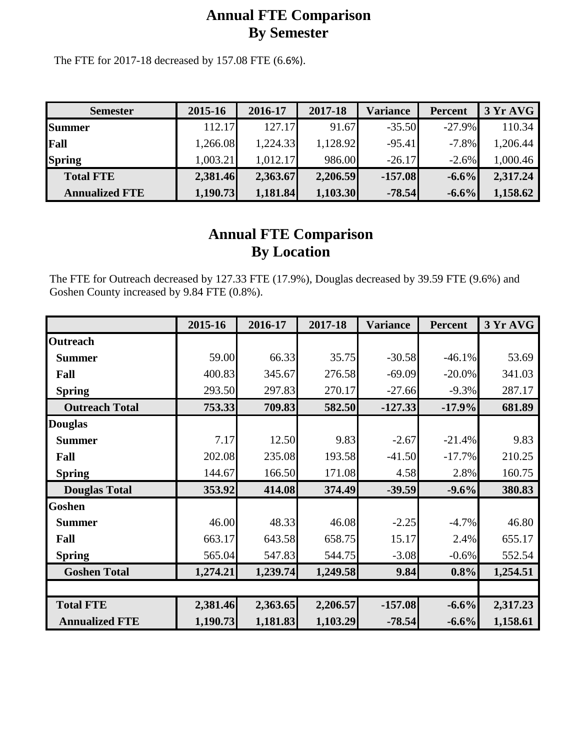## **Annual FTE Comparison By Semester**

The FTE for 2017-18 decreased by 157.08 FTE (6.6%).

| <b>Semester</b>       | 2015-16  | 2016-17  | 2017-18  | Variance  | <b>Percent</b> | 3 Yr AVG |
|-----------------------|----------|----------|----------|-----------|----------------|----------|
| <b>Summer</b>         | 112.17   | 127.17   | 91.67    | $-35.50$  | $-27.9\%$      | 110.34   |
| Fall                  | 1,266.08 | 1,224.33 | 1,128.92 | $-95.41$  | $-7.8%$        | 1,206.44 |
| <b>Spring</b>         | 1,003.21 | 1,012.17 | 986.00   | $-26.17$  | $-2.6%$        | 1,000.46 |
| <b>Total FTE</b>      | 2,381.46 | 2,363.67 | 2,206.59 | $-157.08$ | $-6.6%$        | 2,317.24 |
| <b>Annualized FTE</b> | 1,190.73 | 1,181.84 | 1,103.30 | $-78.54$  | $-6.6%$        | 1,158.62 |

## **Annual FTE Comparison By Location**

The FTE for Outreach decreased by 127.33 FTE (17.9%), Douglas decreased by 39.59 FTE (9.6%) and Goshen County increased by 9.84 FTE (0.8%).

|                       | 2015-16  | 2016-17  | 2017-18  | <b>Variance</b> | <b>Percent</b> | 3 Yr AVG |
|-----------------------|----------|----------|----------|-----------------|----------------|----------|
| <b>Outreach</b>       |          |          |          |                 |                |          |
| <b>Summer</b>         | 59.00    | 66.33    | 35.75    | $-30.58$        | $-46.1%$       | 53.69    |
| Fall                  | 400.83   | 345.67   | 276.58   | $-69.09$        | $-20.0\%$      | 341.03   |
| <b>Spring</b>         | 293.50   | 297.83   | 270.17   | $-27.66$        | $-9.3%$        | 287.17   |
| <b>Outreach Total</b> | 753.33   | 709.83   | 582.50   | $-127.33$       | $-17.9%$       | 681.89   |
| <b>Douglas</b>        |          |          |          |                 |                |          |
| <b>Summer</b>         | 7.17     | 12.50    | 9.83     | $-2.67$         | $-21.4%$       | 9.83     |
| Fall                  | 202.08   | 235.08   | 193.58   | $-41.50$        | $-17.7%$       | 210.25   |
| <b>Spring</b>         | 144.67   | 166.50   | 171.08   | 4.58            | 2.8%           | 160.75   |
| <b>Douglas Total</b>  | 353.92   | 414.08   | 374.49   | $-39.59$        | $-9.6%$        | 380.83   |
| <b>Goshen</b>         |          |          |          |                 |                |          |
| <b>Summer</b>         | 46.00    | 48.33    | 46.08    | $-2.25$         | $-4.7%$        | 46.80    |
| Fall                  | 663.17   | 643.58   | 658.75   | 15.17           | 2.4%           | 655.17   |
| <b>Spring</b>         | 565.04   | 547.83   | 544.75   | $-3.08$         | $-0.6%$        | 552.54   |
| <b>Goshen Total</b>   | 1,274.21 | 1,239.74 | 1,249.58 | 9.84            | $0.8\%$        | 1,254.51 |
|                       |          |          |          |                 |                |          |
| <b>Total FTE</b>      | 2,381.46 | 2,363.65 | 2,206.57 | $-157.08$       | $-6.6%$        | 2,317.23 |
| <b>Annualized FTE</b> | 1,190.73 | 1,181.83 | 1,103.29 | $-78.54$        | $-6.6%$        | 1,158.61 |